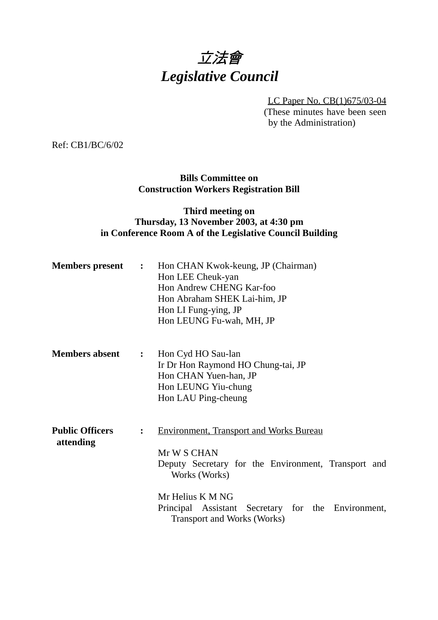# 立法會 *Legislative Council*

LC Paper No. CB(1)675/03-04

(These minutes have been seen by the Administration)

Ref: CB1/BC/6/02

### **Bills Committee on Construction Workers Registration Bill**

#### **Third meeting on Thursday, 13 November 2003, at 4:30 pm in Conference Room A of the Legislative Council Building**

| <b>Members present</b>              | $\ddot{\cdot}$ | Hon CHAN Kwok-keung, JP (Chairman)<br>Hon LEE Cheuk-yan<br>Hon Andrew CHENG Kar-foo<br>Hon Abraham SHEK Lai-him, JP<br>Hon LI Fung-ying, JP<br>Hon LEUNG Fu-wah, MH, JP                                                                               |
|-------------------------------------|----------------|-------------------------------------------------------------------------------------------------------------------------------------------------------------------------------------------------------------------------------------------------------|
| <b>Members absent</b>               | $\mathbf{L}$   | Hon Cyd HO Sau-lan<br>Ir Dr Hon Raymond HO Chung-tai, JP<br>Hon CHAN Yuen-han, JP<br>Hon LEUNG Yiu-chung<br>Hon LAU Ping-cheung                                                                                                                       |
| <b>Public Officers</b><br>attending | $\ddot{\cdot}$ | <b>Environment, Transport and Works Bureau</b><br>Mr W S CHAN<br>Deputy Secretary for the Environment, Transport and<br>Works (Works)<br>Mr Helius K M NG<br>Principal Assistant Secretary for the Environment,<br><b>Transport and Works (Works)</b> |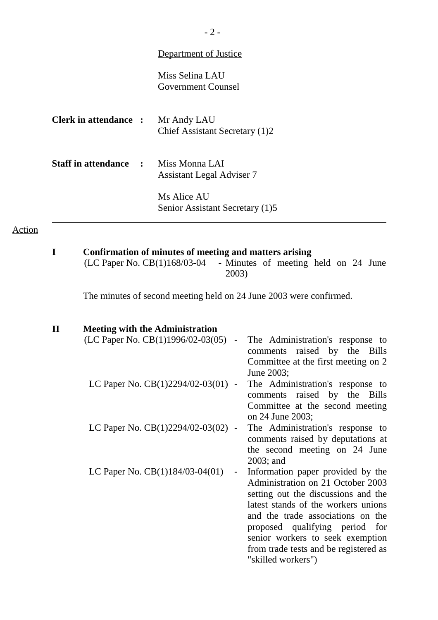|                              | <b>Department of Justice</b>                                                                                                                                                                    |  |
|------------------------------|-------------------------------------------------------------------------------------------------------------------------------------------------------------------------------------------------|--|
|                              | Miss Selina LAU<br><b>Government Counsel</b>                                                                                                                                                    |  |
| <b>Clerk in attendance :</b> | Mr Andy LAU<br>Chief Assistant Secretary (1)2                                                                                                                                                   |  |
| <b>Staff in attendance</b>   | Miss Monna LAI<br><b>Assistant Legal Adviser 7</b>                                                                                                                                              |  |
|                              | Ms Alice AU<br>Senior Assistant Secretary (1)5                                                                                                                                                  |  |
|                              |                                                                                                                                                                                                 |  |
| $\mathbf I$                  | Confirmation of minutes of meeting and matters arising<br>(LC Paper No. CB(1)168/03-04 - Minutes of meeting held on 24 June<br>2003)                                                            |  |
|                              | The minutes of second meeting held on 24 June 2003 were confirmed.                                                                                                                              |  |
| $\mathbf{I}$                 | <b>Meeting with the Administration</b><br>(LC Paper No. CB $(1)$ 1996/02-03 $(05)$ -<br>The Administration's response to<br>comments raised by the Bills<br>Committee at the first meeting on 2 |  |
|                              | June 2003;<br>LC Paper No. $CB(1)2294/02-03(01)$ -<br>The Administration's response to<br>comments raised by the Bills<br>Committee at the second meeting                                       |  |
|                              | on 24 June 2003;<br>LC Paper No. CB(1)2294/02-03(02) -<br>The Administration's response to                                                                                                      |  |

- comments raised by deputations at the second meeting on 24 June 2003; and
- LC Paper No. CB(1)184/03-04(01) Information paper provided by the Administration on 21 October 2003 setting out the discussions and the latest stands of the workers unions and the trade associations on the proposed qualifying period for senior workers to seek exemption from trade tests and be registered as "skilled workers")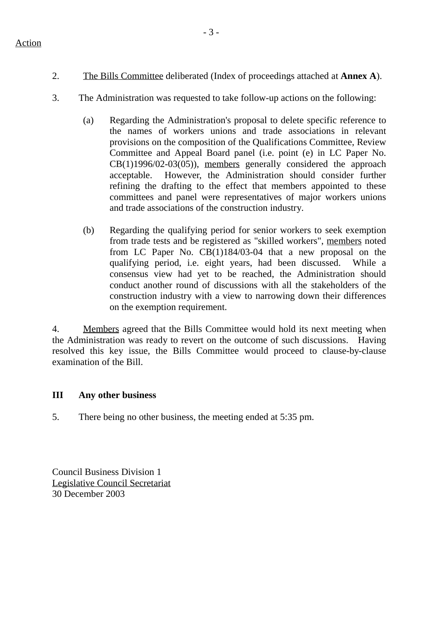Action

- 2. The Bills Committee deliberated (Index of proceedings attached at **Annex A**).
- 3. The Administration was requested to take follow-up actions on the following:
	- (a) Regarding the Administration's proposal to delete specific reference to the names of workers unions and trade associations in relevant provisions on the composition of the Qualifications Committee, Review Committee and Appeal Board panel (i.e. point (e) in LC Paper No. CB(1)1996/02-03(05)), members generally considered the approach acceptable. However, the Administration should consider further refining the drafting to the effect that members appointed to these committees and panel were representatives of major workers unions and trade associations of the construction industry.
	- (b) Regarding the qualifying period for senior workers to seek exemption from trade tests and be registered as "skilled workers", members noted from LC Paper No. CB(1)184/03-04 that a new proposal on the qualifying period, i.e. eight years, had been discussed. While a consensus view had yet to be reached, the Administration should conduct another round of discussions with all the stakeholders of the construction industry with a view to narrowing down their differences on the exemption requirement.

4. Members agreed that the Bills Committee would hold its next meeting when the Administration was ready to revert on the outcome of such discussions. Having resolved this key issue, the Bills Committee would proceed to clause-by-clause examination of the Bill.

## **III Any other business**

5. There being no other business, the meeting ended at 5:35 pm.

Council Business Division 1 Legislative Council Secretariat 30 December 2003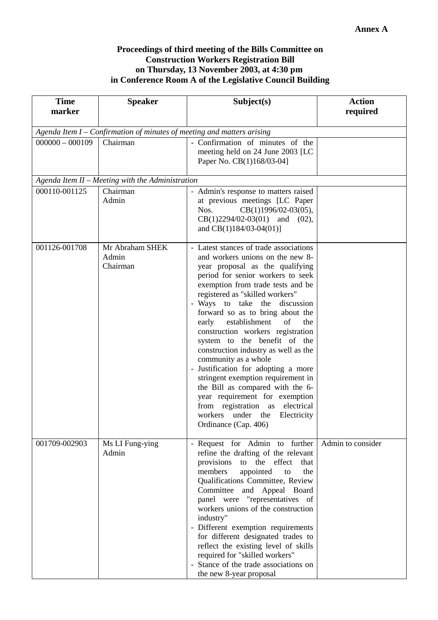#### **Proceedings of third meeting of the Bills Committee on Construction Workers Registration Bill on Thursday, 13 November 2003, at 4:30 pm in Conference Room A of the Legislative Council Building**

| <b>Time</b><br>marker                                                  | <b>Speaker</b>                                   | Subject(s)                                                                                                                                                                                                                                                                                                                                                                                                                                                                                                                                                                                                                                                                                                              | <b>Action</b><br>required |  |  |  |  |  |
|------------------------------------------------------------------------|--------------------------------------------------|-------------------------------------------------------------------------------------------------------------------------------------------------------------------------------------------------------------------------------------------------------------------------------------------------------------------------------------------------------------------------------------------------------------------------------------------------------------------------------------------------------------------------------------------------------------------------------------------------------------------------------------------------------------------------------------------------------------------------|---------------------------|--|--|--|--|--|
| Agenda Item I – Confirmation of minutes of meeting and matters arising |                                                  |                                                                                                                                                                                                                                                                                                                                                                                                                                                                                                                                                                                                                                                                                                                         |                           |  |  |  |  |  |
| $000000 - 000109$                                                      | Chairman                                         | - Confirmation of minutes of the<br>meeting held on 24 June 2003 [LC<br>Paper No. CB(1)168/03-04]                                                                                                                                                                                                                                                                                                                                                                                                                                                                                                                                                                                                                       |                           |  |  |  |  |  |
|                                                                        | Agenda Item II - Meeting with the Administration |                                                                                                                                                                                                                                                                                                                                                                                                                                                                                                                                                                                                                                                                                                                         |                           |  |  |  |  |  |
| 000110-001125                                                          | Chairman<br>Admin                                | - Admin's response to matters raised<br>at previous meetings [LC Paper<br>Nos.<br>$CB(1)1996/02-03(05),$<br>$CB(1)2294/02-03(01)$ and (02),<br>and $CB(1)184/03-04(01)$                                                                                                                                                                                                                                                                                                                                                                                                                                                                                                                                                 |                           |  |  |  |  |  |
| 001126-001708                                                          | Mr Abraham SHEK<br>Admin<br>Chairman             | - Latest stances of trade associations<br>and workers unions on the new 8-<br>year proposal as the qualifying<br>period for senior workers to seek<br>exemption from trade tests and be<br>registered as "skilled workers"<br>- Ways to take the discussion<br>forward so as to bring about the<br>early establishment<br>of<br>the<br>construction workers registration<br>system to the benefit of the<br>construction industry as well as the<br>community as a whole<br>- Justification for adopting a more<br>stringent exemption requirement in<br>the Bill as compared with the 6-<br>year requirement for exemption<br>from registration as electrical<br>workers under the Electricity<br>Ordinance (Cap. 406) |                           |  |  |  |  |  |
| 001709-002903                                                          | Ms LI Fung-ying<br>Admin                         | - Request for Admin to further<br>refine the drafting of the relevant<br>provisions<br>the<br>effect<br>to<br>that<br>appointed<br>members<br>the<br>to<br>Qualifications Committee, Review<br>Committee and Appeal Board<br>panel were "representatives of<br>workers unions of the construction<br>industry"<br>- Different exemption requirements<br>for different designated trades to<br>reflect the existing level of skills<br>required for "skilled workers"<br>- Stance of the trade associations on<br>the new 8-year proposal                                                                                                                                                                                | Admin to consider         |  |  |  |  |  |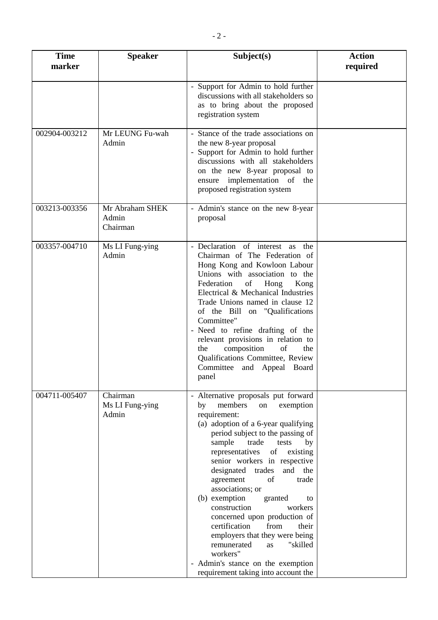| <b>Time</b><br>marker | <b>Speaker</b>                       | Subject(s)                                                                                                                                                                                                                                                                                                                                                                                                                                                                                                                                                                                                                                          | <b>Action</b><br>required |
|-----------------------|--------------------------------------|-----------------------------------------------------------------------------------------------------------------------------------------------------------------------------------------------------------------------------------------------------------------------------------------------------------------------------------------------------------------------------------------------------------------------------------------------------------------------------------------------------------------------------------------------------------------------------------------------------------------------------------------------------|---------------------------|
|                       |                                      | - Support for Admin to hold further<br>discussions with all stakeholders so<br>as to bring about the proposed<br>registration system                                                                                                                                                                                                                                                                                                                                                                                                                                                                                                                |                           |
| 002904-003212         | Mr LEUNG Fu-wah<br>Admin             | - Stance of the trade associations on<br>the new 8-year proposal<br>- Support for Admin to hold further<br>discussions with all stakeholders<br>on the new 8-year proposal to<br>ensure implementation of the<br>proposed registration system                                                                                                                                                                                                                                                                                                                                                                                                       |                           |
| 003213-003356         | Mr Abraham SHEK<br>Admin<br>Chairman | - Admin's stance on the new 8-year<br>proposal                                                                                                                                                                                                                                                                                                                                                                                                                                                                                                                                                                                                      |                           |
| 003357-004710         | Ms LI Fung-ying<br>Admin             | - Declaration of interest as the<br>Chairman of The Federation of<br>Hong Kong and Kowloon Labour<br>Unions with association to the<br>Federation<br>of<br>Hong<br>Kong<br>Electrical & Mechanical Industries<br>Trade Unions named in clause 12<br>of the Bill on "Qualifications<br>Committee"<br>- Need to refine drafting of the<br>relevant provisions in relation to<br>composition<br>of<br>the<br>the<br>Qualifications Committee, Review<br>Committee and Appeal Board<br>panel                                                                                                                                                            |                           |
| 004711-005407         | Chairman<br>Ms LI Fung-ying<br>Admin | - Alternative proposals put forward<br>members<br>by<br>on<br>exemption<br>requirement:<br>(a) adoption of a 6-year qualifying<br>period subject to the passing of<br>sample<br>trade<br>tests<br>by<br>representatives<br>of<br>existing<br>senior workers in respective<br>designated trades<br>and the<br>agreement<br>of<br>trade<br>associations; or<br>(b) exemption<br>granted<br>to<br>construction<br>workers<br>concerned upon production of<br>certification<br>from<br>their<br>employers that they were being<br>remunerated<br>"skilled<br>as<br>workers"<br>- Admin's stance on the exemption<br>requirement taking into account the |                           |